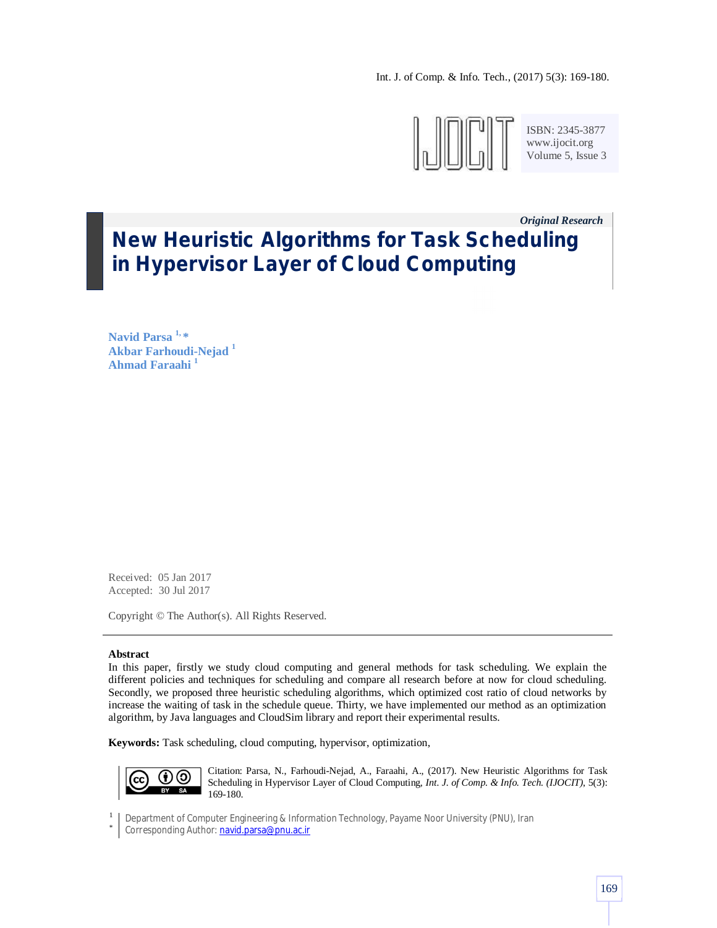Int. J. of Comp. & Info. Tech., (2017) 5(3): 169-180.



ISBN: 2345-3877 www.ijocit.org Volume 5, Issue 3

## *Original Research\_\_* **New Heuristic Algorithms for Task Scheduling in Hypervisor Layer of Cloud Computing**

**Navid Parsa 1, \* Akbar Farhoudi-Nejad <sup>1</sup> Ahmad Faraahi <sup>1</sup>**

Received: 05 Jan 2017 Accepted: 30 Jul 2017

Copyright © The Author(s). All Rights Reserved.

## **Abstract**

In this paper, firstly we study cloud computing and general methods for task scheduling. We explain the different policies and techniques for scheduling and compare all research before at now for cloud scheduling. Secondly, we proposed three heuristic scheduling algorithms, which optimized cost ratio of cloud networks by increase the waiting of task in the schedule queue. Thirty, we have implemented our method as an optimization algorithm, by Java languages and CloudSim library and report their experimental results.

**Keywords:** Task scheduling, cloud computing, hypervisor, optimization,



Citation: Parsa, N., Farhoudi-Nejad, A., Faraahi, A., (2017). New Heuristic Algorithms for Task Scheduling in Hypervisor Layer of Cloud Computing, *Int. J. of Comp. & Info. Tech. (IJOCIT)*, 5(3): 169-180.

1 Department of Computer Engineering & Information Technology, Payame Noor University (PNU), Iran

\* Corresponding Author: navid.parsa@pnu.ac.ir